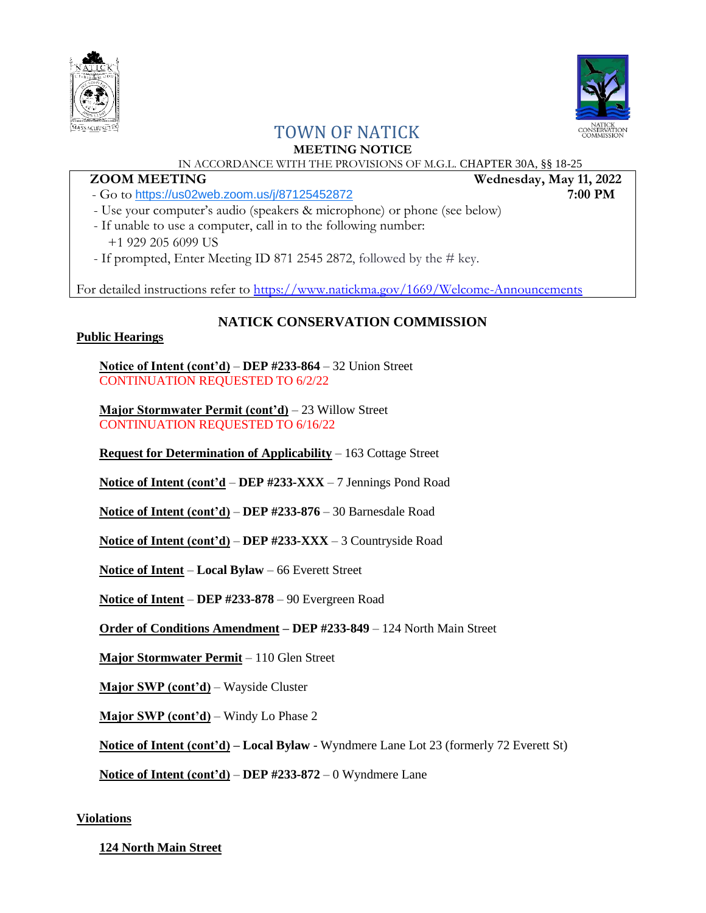



# TOWN OF NATICK

# **MEETING NOTICE**

# IN ACCORDANCE WITH THE PROVISIONS OF M.G.L. CHAPTER 30A, §§ 18-25

- Go to <https://us02web.zoom.us/j/87125452872> **7:00 PM**

- Use your computer's audio (speakers & microphone) or phone (see below)
- If unable to use a computer, call in to the following number: +1 929 205 6099 US
- If prompted, Enter Meeting ID 871 2545 2872, followed by the # key.

For detailed instructions refer to<https://www.natickma.gov/1669/Welcome-Announcements>

# **NATICK CONSERVATION COMMISSION**

# **Public Hearings**

**Notice of Intent (cont'd)** – **DEP #233-864** – 32 Union Street CONTINUATION REQUESTED TO 6/2/22

**Major Stormwater Permit (cont'd)** – 23 Willow Street CONTINUATION REQUESTED TO 6/16/22

**Request for Determination of Applicability** – 163 Cottage Street

**Notice of Intent (cont'd** – **DEP #233-XXX** – 7 Jennings Pond Road

**Notice of Intent (cont'd)** – **DEP #233-876** – 30 Barnesdale Road

**Notice of Intent (cont'd)** – **DEP #233-XXX** – 3 Countryside Road

**Notice of Intent** – **Local Bylaw** – 66 Everett Street

**Notice of Intent** – **DEP #233-878** – 90 Evergreen Road

**Order of Conditions Amendment – DEP #233-849** – 124 North Main Street

**Major Stormwater Permit** – 110 Glen Street

**Major SWP (cont'd)** – Wayside Cluster

**Major SWP (cont'd)** – Windy Lo Phase 2

**Notice of Intent (cont'd) – Local Bylaw** - Wyndmere Lane Lot 23 (formerly 72 Everett St)

**Notice of Intent (cont'd)** – **DEP #233-872** – 0 Wyndmere Lane

# **Violations**

# **124 North Main Street**

 **ZOOM MEETING** Wednesday, May 11, 2022